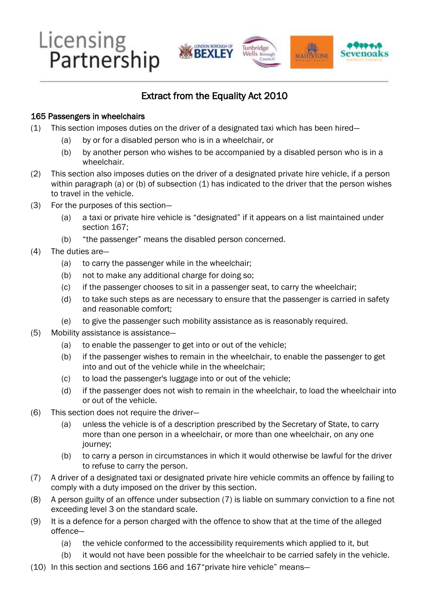

## Extract from the Equality Act 2010

## 165 Passengers in wheelchairs

- (1) This section imposes duties on the driver of a designated taxi which has been hired—
	- (a) by or for a disabled person who is in a wheelchair, or
	- (b) by another person who wishes to be accompanied by a disabled person who is in a wheelchair.
- (2) This section also imposes duties on the driver of a designated private hire vehicle, if a person within paragraph (a) or (b) of subsection (1) has indicated to the driver that the person wishes to travel in the vehicle.
- (3) For the purposes of this section—
	- (a) a taxi or private hire vehicle is "designated" if it appears on a list maintained under section 167;
	- (b) "the passenger" means the disabled person concerned.
- (4) The duties are—
	- (a) to carry the passenger while in the wheelchair;
	- (b) not to make any additional charge for doing so;
	- (c) if the passenger chooses to sit in a passenger seat, to carry the wheelchair;
	- (d) to take such steps as are necessary to ensure that the passenger is carried in safety and reasonable comfort;
	- (e) to give the passenger such mobility assistance as is reasonably required.
- (5) Mobility assistance is assistance—
	- (a) to enable the passenger to get into or out of the vehicle;
	- (b) if the passenger wishes to remain in the wheelchair, to enable the passenger to get into and out of the vehicle while in the wheelchair;
	- (c) to load the passenger's luggage into or out of the vehicle;
	- (d) if the passenger does not wish to remain in the wheelchair, to load the wheelchair into or out of the vehicle.
- (6) This section does not require the driver—
	- (a) unless the vehicle is of a description prescribed by the Secretary of State, to carry more than one person in a wheelchair, or more than one wheelchair, on any one journey;
	- (b) to carry a person in circumstances in which it would otherwise be lawful for the driver to refuse to carry the person.
- (7) A driver of a designated taxi or designated private hire vehicle commits an offence by failing to comply with a duty imposed on the driver by this section.
- (8) A person guilty of an offence under subsection (7) is liable on summary conviction to a fine not exceeding level 3 on the standard scale.
- (9) It is a defence for a person charged with the offence to show that at the time of the alleged offence—
	- (a) the vehicle conformed to the accessibility requirements which applied to it, but
	- (b) it would not have been possible for the wheelchair to be carried safely in the vehicle.
- (10) In this section and sections 166 and 167"private hire vehicle" means—